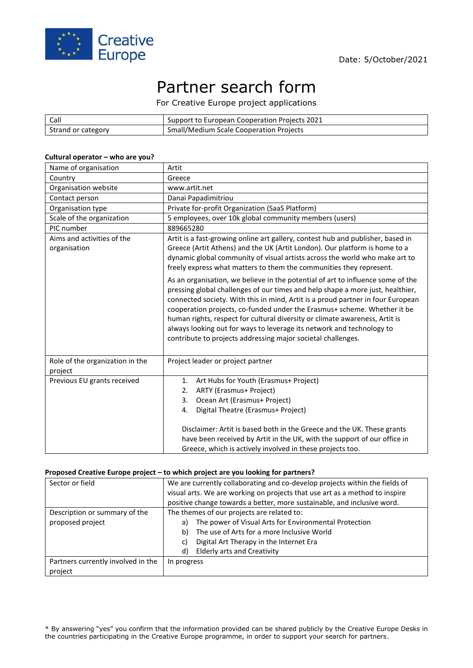

# Partner search form

For Creative Europe project applications

| Call               | Support to European Cooperation Projects 2021 |
|--------------------|-----------------------------------------------|
| Strand or category | Small/Medium Scale Cooperation Projects       |

### **Cultural operator – who are you?**

| Name of organisation                       | Artit                                                                                                                                                                                                                                                                                                                                                                                                                                                                                                                                                    |
|--------------------------------------------|----------------------------------------------------------------------------------------------------------------------------------------------------------------------------------------------------------------------------------------------------------------------------------------------------------------------------------------------------------------------------------------------------------------------------------------------------------------------------------------------------------------------------------------------------------|
| Country                                    | Greece                                                                                                                                                                                                                                                                                                                                                                                                                                                                                                                                                   |
| Organisation website                       | www.artit.net                                                                                                                                                                                                                                                                                                                                                                                                                                                                                                                                            |
| Contact person                             | Danai Papadimitriou                                                                                                                                                                                                                                                                                                                                                                                                                                                                                                                                      |
| Organisation type                          | Private for-profit Organization (SaaS Platform)                                                                                                                                                                                                                                                                                                                                                                                                                                                                                                          |
| Scale of the organization                  | 5 employees, over 10k global community members (users)                                                                                                                                                                                                                                                                                                                                                                                                                                                                                                   |
| PIC number                                 | 889665280                                                                                                                                                                                                                                                                                                                                                                                                                                                                                                                                                |
| Aims and activities of the<br>organisation | Artit is a fast-growing online art gallery, contest hub and publisher, based in<br>Greece (Artit Athens) and the UK (Artit London). Our platform is home to a<br>dynamic global community of visual artists across the world who make art to<br>freely express what matters to them the communities they represent.                                                                                                                                                                                                                                      |
|                                            | As an organisation, we believe in the potential of art to influence some of the<br>pressing global challenges of our times and help shape a more just, healthier,<br>connected society. With this in mind, Artit is a proud partner in four European<br>cooperation projects, co-funded under the Erasmus+ scheme. Whether it be<br>human rights, respect for cultural diversity or climate awareness, Artit is<br>always looking out for ways to leverage its network and technology to<br>contribute to projects addressing major societal challenges. |
| Role of the organization in the<br>project | Project leader or project partner                                                                                                                                                                                                                                                                                                                                                                                                                                                                                                                        |
| Previous EU grants received                | Art Hubs for Youth (Erasmus+ Project)<br>1.<br>ARTY (Erasmus+ Project)<br>2.<br>Ocean Art (Erasmus+ Project)<br>3.<br>Digital Theatre (Erasmus+ Project)<br>4.<br>Disclaimer: Artit is based both in the Greece and the UK. These grants<br>have been received by Artit in the UK, with the support of our office in<br>Greece, which is actively involved in these projects too.                                                                                                                                                                        |

## **Proposed Creative Europe project – to which project are you looking for partners?**

| Sector or field                    | We are currently collaborating and co-develop projects within the fields of |
|------------------------------------|-----------------------------------------------------------------------------|
|                                    | visual arts. We are working on projects that use art as a method to inspire |
|                                    | positive change towards a better, more sustainable, and inclusive word.     |
| Description or summary of the      | The themes of our projects are related to:                                  |
| proposed project                   | The power of Visual Arts for Environmental Protection<br>a)                 |
|                                    | The use of Arts for a more Inclusive World<br>b)                            |
|                                    | Digital Art Therapy in the Internet Era<br>C)                               |
|                                    | <b>Elderly arts and Creativity</b><br>d)                                    |
| Partners currently involved in the | In progress                                                                 |
| project                            |                                                                             |